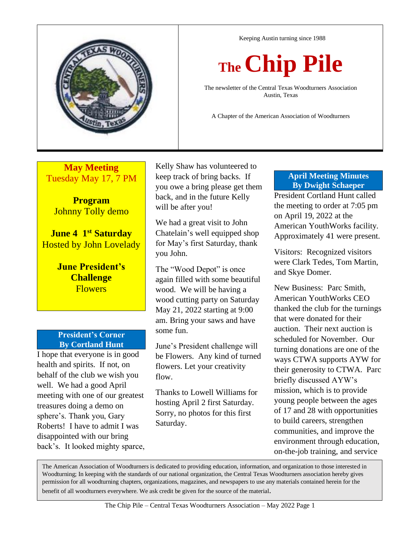

Keeping Austin turning since 1988

# **TheChip Pile**

The newsletter of the Central Texas Woodturners Association Austin, Texas

A Chapter of the American Association of Woodturners

**May Meeting** Tuesday May 17, 7 PM

**Program** Johnny Tolly demo

**June 4 1st Saturday** Hosted by John Lovelady

> **June President's Challenge Flowers**

## **President's Corner By Cortland Hunt**

I hope that everyone is in good health and spirits. If not, on behalf of the club we wish you well. We had a good April meeting with one of our greatest treasures doing a demo on sphere's. Thank you, Gary Roberts! I have to admit I was disappointed with our bring back's. It looked mighty sparce, Kelly Shaw has volunteered to keep track of bring backs. If you owe a bring please get them back, and in the future Kelly will be after you!

We had a great visit to John Chatelain's well equipped shop for May's first Saturday, thank you John.

The "Wood Depot" is once again filled with some beautiful wood. We will be having a wood cutting party on Saturday May 21, 2022 starting at 9:00 am. Bring your saws and have some fun.

June's President challenge will be Flowers. Any kind of turned flowers. Let your creativity flow.

Thanks to Lowell Williams for hosting April 2 first Saturday. Sorry, no photos for this first Saturday.

## **April Meeting Minutes By Dwight Schaeper**

President Cortland Hunt called the meeting to order at 7:05 pm on April 19, 2022 at the American YouthWorks facility. Approximately 41 were present.

Visitors: Recognized visitors were Clark Tedes, Tom Martin, and Skye Domer.

New Business: Parc Smith, American YouthWorks CEO thanked the club for the turnings that were donated for their auction. Their next auction is scheduled for November. Our turning donations are one of the ways CTWA supports AYW for their generosity to CTWA. Parc briefly discussed AYW's mission, which is to provide young people between the ages of 17 and 28 with opportunities to build careers, strengthen communities, and improve the environment through education, on-the-job training, and service

The American Association of Woodturners is dedicated to providing education, information, and organization to those interested in Woodturning; In keeping with the standards of our national organization, the Central Texas Woodturners association hereby gives permission for all woodturning chapters, organizations, magazines, and newspapers to use any materials contained herein for the benefit of all woodturners everywhere. We ask credit be given for the source of the material.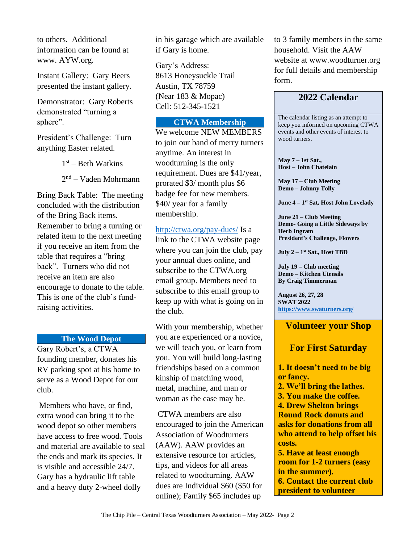to others. Additional information can be found at www. AYW.org.

Instant Gallery: Gary Beers presented the instant gallery.

Demonstrator: Gary Roberts demonstrated "turning a sphere".

President's Challenge: Turn anything Easter related.

1 st – Beth Watkins

2<sup>nd</sup> – Vaden Mohrmann

Bring Back Table: The meeting concluded with the distribution of the Bring Back items. Remember to bring a turning or related item to the next meeting if you receive an item from the table that requires a "bring back". Turners who did not receive an item are also encourage to donate to the table. This is one of the club's fundraising activities.

## **The Wood Depot**

Gary Robert's, a CTWA founding member, donates his RV parking spot at his home to serve as a Wood Depot for our club.

Members who have, or find, extra wood can bring it to the wood depot so other members have access to free wood. Tools and material are available to seal the ends and mark its species. It is visible and accessible 24/7. Gary has a hydraulic lift table and a heavy duty 2-wheel dolly

in his garage which are available if Gary is home.

Gary's Address: 8613 Honeysuckle Trail Austin, TX 78759 (Near 183 & Mopac) Cell: 512-345-1521

## **CTWA Membership**

We welcome NEW MEMBERS to join our band of merry turners anytime. An interest in woodturning is the only requirement. Dues are \$41/year, prorated \$3/ month plus \$6 badge fee for new members. \$40/ year for a family membership.

<http://ctwa.org/pay-dues/> Is a link to the CTWA website page where you can join the club, pay your annual dues online, and subscribe to the CTWA.org email group. Members need to subscribe to this email group to keep up with what is going on in the club.

With your membership, whether you are experienced or a novice, we will teach you, or learn from you. You will build long-lasting friendships based on a common kinship of matching wood, metal, machine, and man or woman as the case may be.

CTWA members are also encouraged to join the American Association of Woodturners (AAW). AAW provides an extensive resource for articles, tips, and videos for all areas related to woodturning. AAW dues are Individual \$60 (\$50 for online); Family \$65 includes up

to 3 family members in the same household. Visit the AAW website at www.woodturner.org for full details and membership form.

## **2022 Calendar**

The calendar listing as an attempt to keep you informed on upcoming CTWA events and other events of interest to wood turners.

**May 7 – 1st Sat., Host – John Chatelain**

**May 17 – Club Meeting Demo – Johnny Tolly**

**June 4 – 1 st Sat, Host John Lovelady**

**June 21 – Club Meeting Demo- Going a Little Sideways by Herb Ingram President's Challenge, Flowers**

**July 2 – 1 st Sat., Host TBD**

**July 19 – Club meeting Demo – Kitchen Utensils By Craig Timmerman**

**August 26, 27, 28 SWAT 2022 <https://www.swaturners.org/>**

## **Volunteer your Shop**

## **For First Saturday**

**1. It doesn't need to be big or fancy.** 

**2. We'll bring the lathes.** 

**3. You make the coffee.** 

**4. Drew Shelton brings** 

**Round Rock donuts and asks for donations from all who attend to help offset his costs.** 

**5. Have at least enough room for 1-2 turners (easy in the summer). 6. Contact the current club** 

**president to volunteer**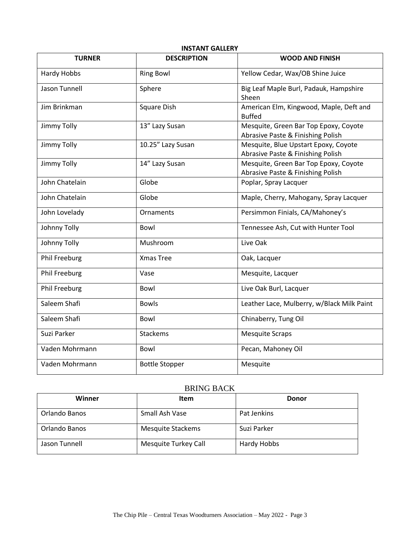#### **INSTANT GALLERY**

| <b>TURNER</b>        | <b>DESCRIPTION</b>    | <b>WOOD AND FINISH</b>                                                     |
|----------------------|-----------------------|----------------------------------------------------------------------------|
| Hardy Hobbs          | <b>Ring Bowl</b>      | Yellow Cedar, Wax/OB Shine Juice                                           |
| <b>Jason Tunnell</b> | Sphere                | Big Leaf Maple Burl, Padauk, Hampshire<br>Sheen                            |
| Jim Brinkman         | <b>Square Dish</b>    | American Elm, Kingwood, Maple, Deft and<br><b>Buffed</b>                   |
| Jimmy Tolly          | 13" Lazy Susan        | Mesquite, Green Bar Top Epoxy, Coyote<br>Abrasive Paste & Finishing Polish |
| Jimmy Tolly          | 10.25" Lazy Susan     | Mesquite, Blue Upstart Epoxy, Coyote<br>Abrasive Paste & Finishing Polish  |
| Jimmy Tolly          | 14" Lazy Susan        | Mesquite, Green Bar Top Epoxy, Coyote<br>Abrasive Paste & Finishing Polish |
| John Chatelain       | Globe                 | Poplar, Spray Lacquer                                                      |
| John Chatelain       | Globe                 | Maple, Cherry, Mahogany, Spray Lacquer                                     |
| John Lovelady        | Ornaments             | Persimmon Finials, CA/Mahoney's                                            |
| Johnny Tolly         | Bowl                  | Tennessee Ash, Cut with Hunter Tool                                        |
| Johnny Tolly         | Mushroom              | Live Oak                                                                   |
| Phil Freeburg        | <b>Xmas Tree</b>      | Oak, Lacquer                                                               |
| Phil Freeburg        | Vase                  | Mesquite, Lacquer                                                          |
| <b>Phil Freeburg</b> | Bowl                  | Live Oak Burl, Lacquer                                                     |
| Saleem Shafi         | <b>Bowls</b>          | Leather Lace, Mulberry, w/Black Milk Paint                                 |
| Saleem Shafi         | Bowl                  | Chinaberry, Tung Oil                                                       |
| Suzi Parker          | Stackems              | <b>Mesquite Scraps</b>                                                     |
| Vaden Mohrmann       | Bowl                  | Pecan, Mahoney Oil                                                         |
| Vaden Mohrmann       | <b>Bottle Stopper</b> | Mesquite                                                                   |

## BRING BACK

| Winner        | <b>Item</b>              | <b>Donor</b> |
|---------------|--------------------------|--------------|
| Orlando Banos | Small Ash Vase           | Pat Jenkins  |
| Orlando Banos | <b>Mesquite Stackems</b> | Suzi Parker  |
| Jason Tunnell | Mesquite Turkey Call     | Hardy Hobbs  |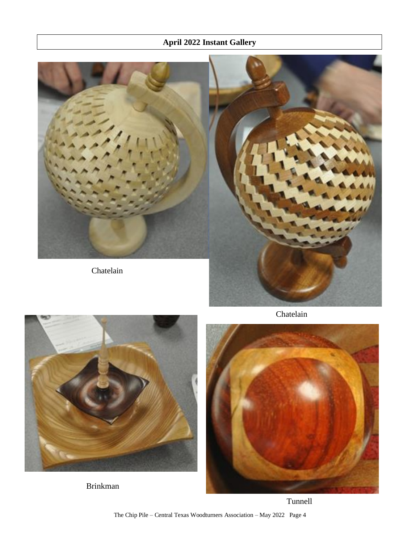## **April 2022 Instant Gallery**



Chatelain



Brinkman



Tunnell

The Chip Pile – Central Texas Woodturners Association – May 2022 Page 4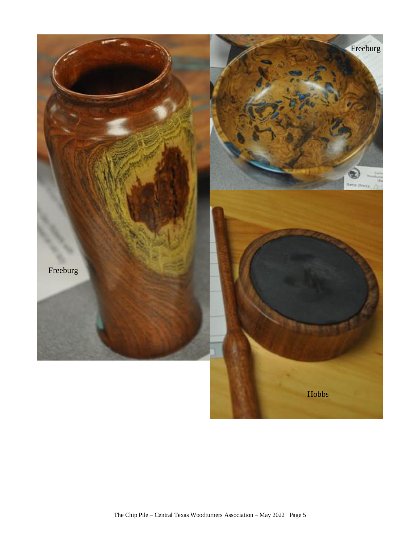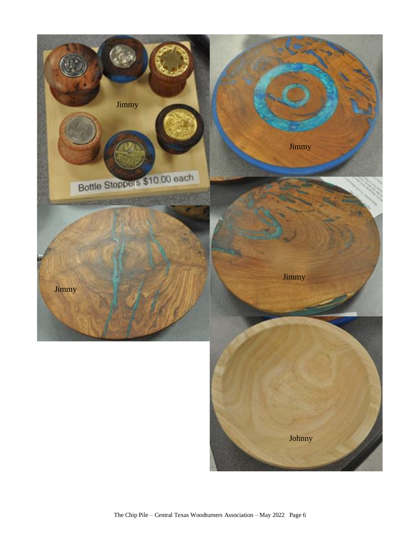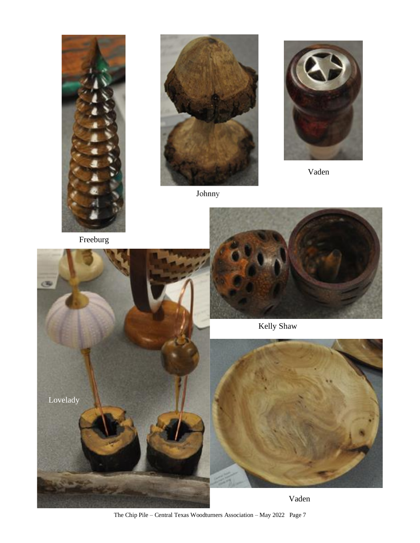



Johnny



Vaden



The Chip Pile – Central Texas Woodturners Association – May 2022 Page 7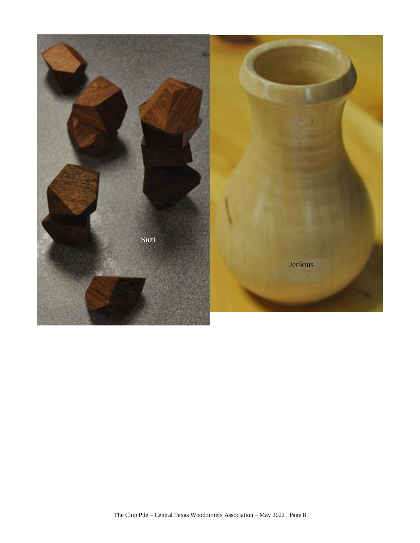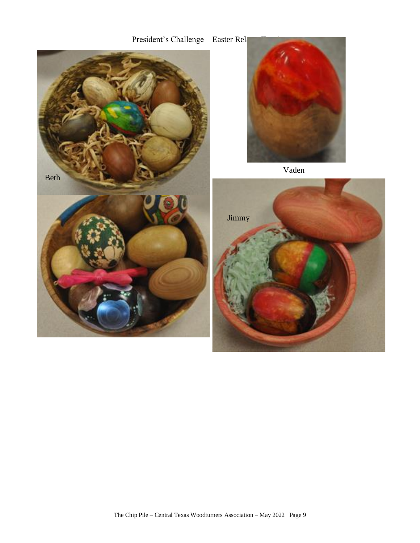## President's Challenge – Easter Rel





Vaden

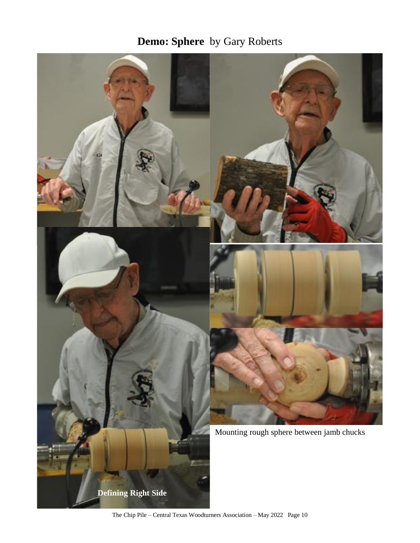## **Demo: Sphere** by Gary Roberts



The Chip Pile – Central Texas Woodturners Association – May 2022 Page 10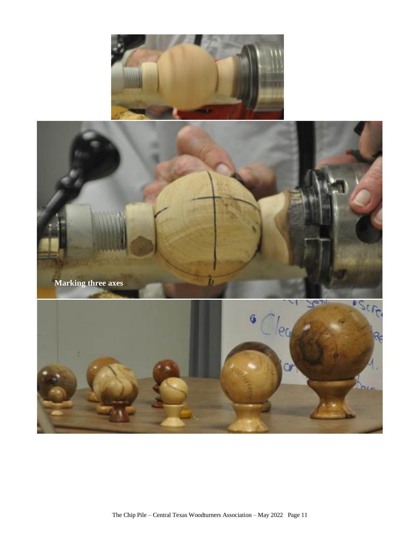